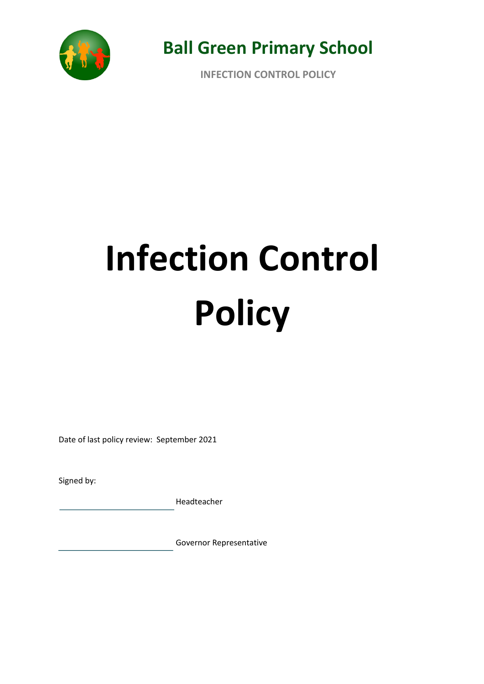

**INFECTION CONTROL POLICY**

# **Infection Control Policy**

Date of last policy review: September 2021

Signed by:

Headteacher

Governor Representative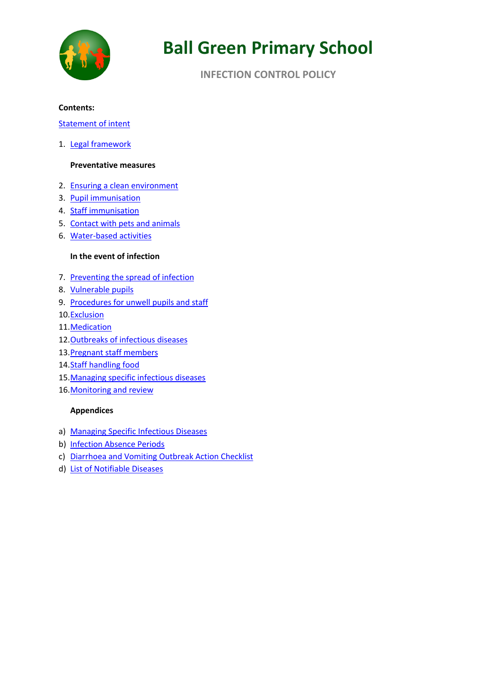

# **INFECTION CONTROL POLICY**

#### **Contents:**

### Statement of intent

1. Legal framework

### **Preventative measures**

- 2. Ensuring a clean environment
- 3. Pupil immunisation
- 4. Staff immunisation
- 5. Contact with pets and animals
- 6. Water-based activities

### **In the event of infection**

- 7. Preventing the spread of infection
- 8. Vulnerable pupils
- 9. Procedures for unwell pupils and staff
- 10.Exclusion
- 11.Medication
- 12. Outbreaks of infectious diseases
- 13.Pregnant staff members
- 14.Staff handling food
- 15.Managing specific infectious diseases
- 16. Monitoring and review

#### **Appendices**

- a) Managing Specific Infectious Diseases
- b) Infection Absence Periods
- c) Diarrhoea and Vomiting Outbreak Action Checklist
- d) List of Notifiable Diseases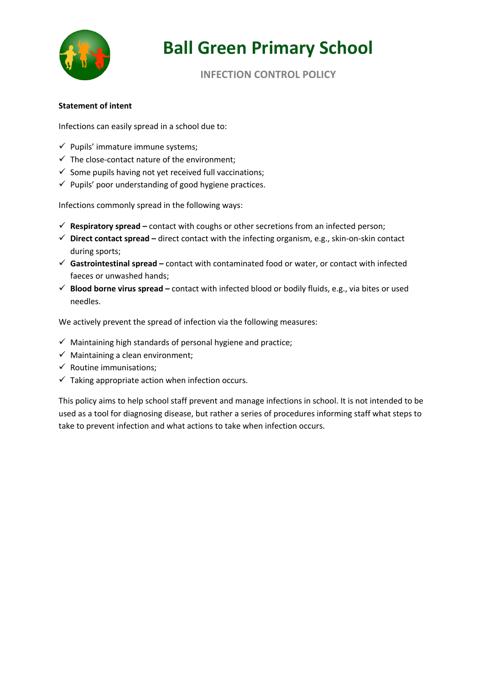

**INFECTION CONTROL POLICY**

# **Statement of intent**

Infections can easily spread in a school due to:

- $\checkmark$  Pupils' immature immune systems;
- $\checkmark$  The close-contact nature of the environment;
- $\checkmark$  Some pupils having not yet received full vaccinations;
- $\checkmark$  Pupils' poor understanding of good hygiene practices.

Infections commonly spread in the following ways:

- ü **Respiratory spread –** contact with coughs or other secretions from an infected person;
- ü **Direct contact spread –** direct contact with the infecting organism, e.g., skin-on-skin contact during sports;
- ü **Gastrointestinal spread –** contact with contaminated food or water, or contact with infected faeces or unwashed hands;
- ü **Blood borne virus spread –** contact with infected blood or bodily fluids, e.g., via bites or used needles.

We actively prevent the spread of infection via the following measures:

- $\checkmark$  Maintaining high standards of personal hygiene and practice;
- $\checkmark$  Maintaining a clean environment;
- $\checkmark$  Routine immunisations;
- $\checkmark$  Taking appropriate action when infection occurs.

This policy aims to help school staff prevent and manage infections in school. It is not intended to be used as a tool for diagnosing disease, but rather a series of procedures informing staff what steps to take to prevent infection and what actions to take when infection occurs.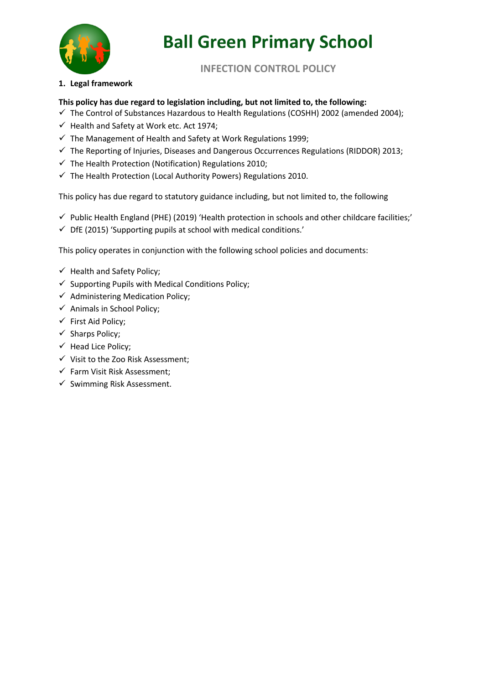

**INFECTION CONTROL POLICY**

# **1. Legal framework**

# **This policy has due regard to legislation including, but not limited to, the following:**

- $\checkmark$  The Control of Substances Hazardous to Health Regulations (COSHH) 2002 (amended 2004);
- $\checkmark$  Health and Safety at Work etc. Act 1974;
- $\checkmark$  The Management of Health and Safety at Work Regulations 1999;
- $\checkmark$  The Reporting of Injuries, Diseases and Dangerous Occurrences Regulations (RIDDOR) 2013;
- $\checkmark$  The Health Protection (Notification) Regulations 2010;
- $\checkmark$  The Health Protection (Local Authority Powers) Regulations 2010.

This policy has due regard to statutory guidance including, but not limited to, the following

- $\checkmark$  Public Health England (PHE) (2019) 'Health protection in schools and other childcare facilities;'
- $\checkmark$  DfE (2015) 'Supporting pupils at school with medical conditions.'

This policy operates in conjunction with the following school policies and documents:

- $\checkmark$  Health and Safety Policy;
- $\checkmark$  Supporting Pupils with Medical Conditions Policy;
- $\checkmark$  Administering Medication Policy;
- $\checkmark$  Animals in School Policy;
- $\checkmark$  First Aid Policy;
- $\checkmark$  Sharps Policy;
- $\checkmark$  Head Lice Policy;
- $\checkmark$  Visit to the Zoo Risk Assessment;
- $\checkmark$  Farm Visit Risk Assessment;
- $\checkmark$  Swimming Risk Assessment.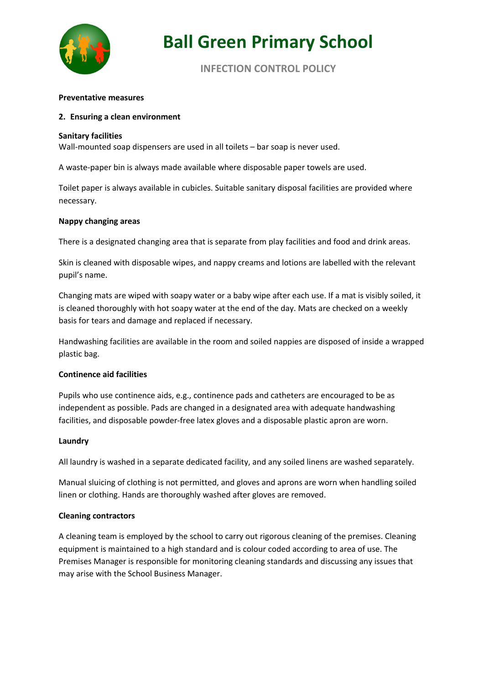

# **INFECTION CONTROL POLICY**

#### **Preventative measures**

#### **2. Ensuring a clean environment**

#### **Sanitary facilities**

Wall-mounted soap dispensers are used in all toilets – bar soap is never used.

A waste-paper bin is always made available where disposable paper towels are used.

Toilet paper is always available in cubicles. Suitable sanitary disposal facilities are provided where necessary.

#### **Nappy changing areas**

There is a designated changing area that is separate from play facilities and food and drink areas.

Skin is cleaned with disposable wipes, and nappy creams and lotions are labelled with the relevant pupil's name.

Changing mats are wiped with soapy water or a baby wipe after each use. If a mat is visibly soiled, it is cleaned thoroughly with hot soapy water at the end of the day. Mats are checked on a weekly basis for tears and damage and replaced if necessary.

Handwashing facilities are available in the room and soiled nappies are disposed of inside a wrapped plastic bag.

#### **Continence aid facilities**

Pupils who use continence aids, e.g., continence pads and catheters are encouraged to be as independent as possible. Pads are changed in a designated area with adequate handwashing facilities, and disposable powder-free latex gloves and a disposable plastic apron are worn.

#### **Laundry**

All laundry is washed in a separate dedicated facility, and any soiled linens are washed separately.

Manual sluicing of clothing is not permitted, and gloves and aprons are worn when handling soiled linen or clothing. Hands are thoroughly washed after gloves are removed.

#### **Cleaning contractors**

A cleaning team is employed by the school to carry out rigorous cleaning of the premises. Cleaning equipment is maintained to a high standard and is colour coded according to area of use. The Premises Manager is responsible for monitoring cleaning standards and discussing any issues that may arise with the School Business Manager.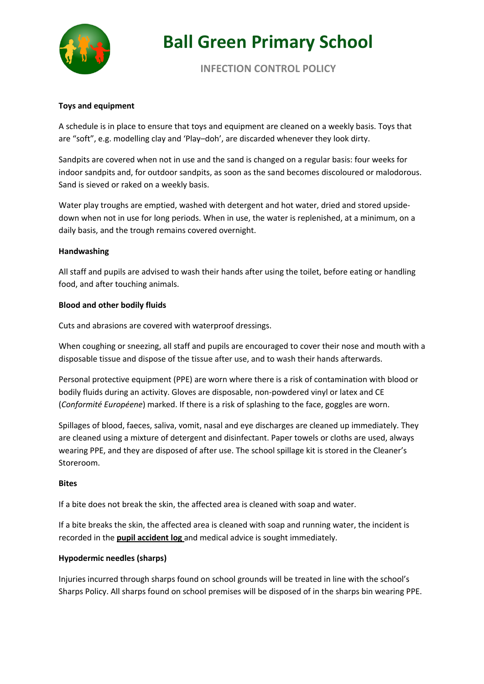

**INFECTION CONTROL POLICY**

# **Toys and equipment**

A schedule is in place to ensure that toys and equipment are cleaned on a weekly basis. Toys that are "soft", e.g. modelling clay and 'Play–doh', are discarded whenever they look dirty.

Sandpits are covered when not in use and the sand is changed on a regular basis: four weeks for indoor sandpits and, for outdoor sandpits, as soon as the sand becomes discoloured or malodorous. Sand is sieved or raked on a weekly basis.

Water play troughs are emptied, washed with detergent and hot water, dried and stored upsidedown when not in use for long periods. When in use, the water is replenished, at a minimum, on a daily basis, and the trough remains covered overnight.

### **Handwashing**

All staff and pupils are advised to wash their hands after using the toilet, before eating or handling food, and after touching animals.

### **Blood and other bodily fluids**

Cuts and abrasions are covered with waterproof dressings.

When coughing or sneezing, all staff and pupils are encouraged to cover their nose and mouth with a disposable tissue and dispose of the tissue after use, and to wash their hands afterwards.

Personal protective equipment (PPE) are worn where there is a risk of contamination with blood or bodily fluids during an activity. Gloves are disposable, non-powdered vinyl or latex and CE (*Conformité Européene*) marked. If there is a risk of splashing to the face, goggles are worn.

Spillages of blood, faeces, saliva, vomit, nasal and eye discharges are cleaned up immediately. They are cleaned using a mixture of detergent and disinfectant. Paper towels or cloths are used, always wearing PPE, and they are disposed of after use. The school spillage kit is stored in the Cleaner's Storeroom.

#### **Bites**

If a bite does not break the skin, the affected area is cleaned with soap and water.

If a bite breaks the skin, the affected area is cleaned with soap and running water, the incident is recorded in the **pupil accident log** and medical advice is sought immediately.

# **Hypodermic needles (sharps)**

Injuries incurred through sharps found on school grounds will be treated in line with the school's Sharps Policy. All sharps found on school premises will be disposed of in the sharps bin wearing PPE.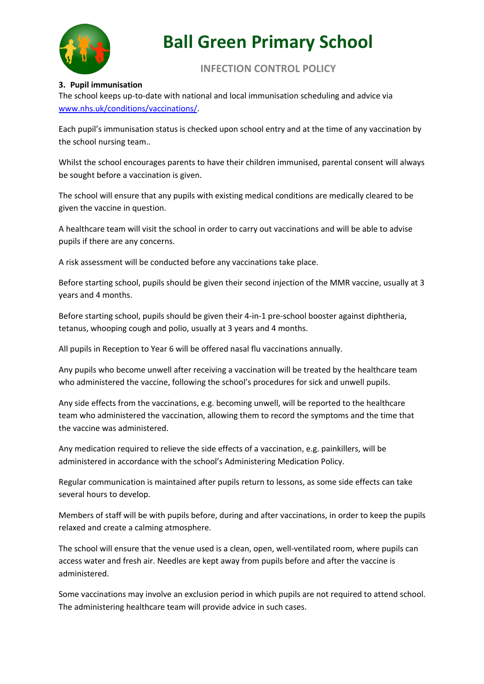

**INFECTION CONTROL POLICY**

# **3. Pupil immunisation**

The school keeps up-to-date with national and local immunisation scheduling and advice via www.nhs.uk/conditions/vaccinations/.

Each pupil's immunisation status is checked upon school entry and at the time of any vaccination by the school nursing team..

Whilst the school encourages parents to have their children immunised, parental consent will always be sought before a vaccination is given.

The school will ensure that any pupils with existing medical conditions are medically cleared to be given the vaccine in question.

A healthcare team will visit the school in order to carry out vaccinations and will be able to advise pupils if there are any concerns.

A risk assessment will be conducted before any vaccinations take place.

Before starting school, pupils should be given their second injection of the MMR vaccine, usually at 3 years and 4 months.

Before starting school, pupils should be given their 4-in-1 pre-school booster against diphtheria, tetanus, whooping cough and polio, usually at 3 years and 4 months.

All pupils in Reception to Year 6 will be offered nasal flu vaccinations annually.

Any pupils who become unwell after receiving a vaccination will be treated by the healthcare team who administered the vaccine, following the school's procedures for sick and unwell pupils.

Any side effects from the vaccinations, e.g. becoming unwell, will be reported to the healthcare team who administered the vaccination, allowing them to record the symptoms and the time that the vaccine was administered.

Any medication required to relieve the side effects of a vaccination, e.g. painkillers, will be administered in accordance with the school's Administering Medication Policy.

Regular communication is maintained after pupils return to lessons, as some side effects can take several hours to develop.

Members of staff will be with pupils before, during and after vaccinations, in order to keep the pupils relaxed and create a calming atmosphere.

The school will ensure that the venue used is a clean, open, well-ventilated room, where pupils can access water and fresh air. Needles are kept away from pupils before and after the vaccine is administered.

Some vaccinations may involve an exclusion period in which pupils are not required to attend school. The administering healthcare team will provide advice in such cases.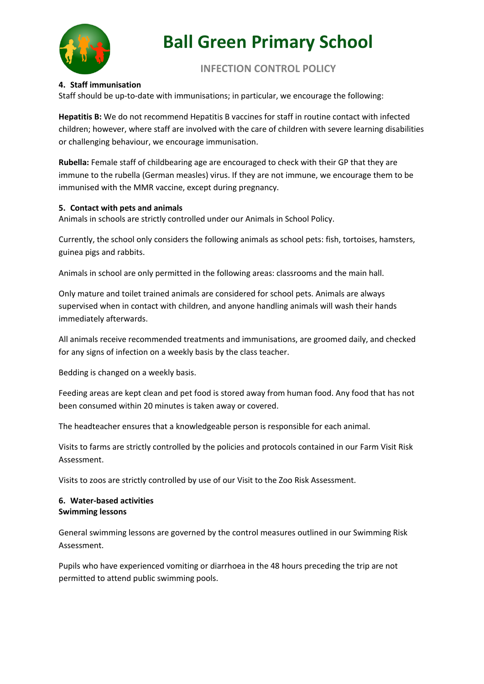

# **INFECTION CONTROL POLICY**

# **4. Staff immunisation**

Staff should be up-to-date with immunisations; in particular, we encourage the following:

**Hepatitis B:** We do not recommend Hepatitis B vaccines for staff in routine contact with infected children; however, where staff are involved with the care of children with severe learning disabilities or challenging behaviour, we encourage immunisation.

**Rubella:** Female staff of childbearing age are encouraged to check with their GP that they are immune to the rubella (German measles) virus. If they are not immune, we encourage them to be immunised with the MMR vaccine, except during pregnancy.

### **5. Contact with pets and animals**

Animals in schools are strictly controlled under our Animals in School Policy.

Currently, the school only considers the following animals as school pets: fish, tortoises, hamsters, guinea pigs and rabbits.

Animals in school are only permitted in the following areas: classrooms and the main hall.

Only mature and toilet trained animals are considered for school pets. Animals are always supervised when in contact with children, and anyone handling animals will wash their hands immediately afterwards.

All animals receive recommended treatments and immunisations, are groomed daily, and checked for any signs of infection on a weekly basis by the class teacher.

Bedding is changed on a weekly basis.

Feeding areas are kept clean and pet food is stored away from human food. Any food that has not been consumed within 20 minutes is taken away or covered.

The headteacher ensures that a knowledgeable person is responsible for each animal.

Visits to farms are strictly controlled by the policies and protocols contained in our Farm Visit Risk Assessment.

Visits to zoos are strictly controlled by use of our Visit to the Zoo Risk Assessment.

### **6. Water-based activities Swimming lessons**

General swimming lessons are governed by the control measures outlined in our Swimming Risk Assessment.

Pupils who have experienced vomiting or diarrhoea in the 48 hours preceding the trip are not permitted to attend public swimming pools.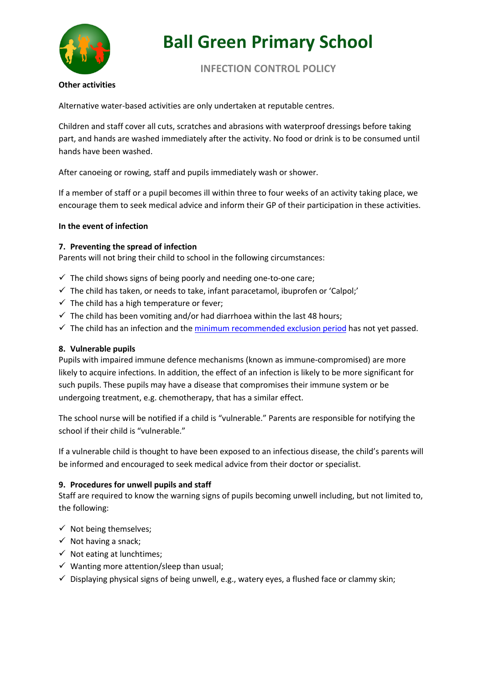

# **INFECTION CONTROL POLICY**

### **Other activities**

Alternative water-based activities are only undertaken at reputable centres.

Children and staff cover all cuts, scratches and abrasions with waterproof dressings before taking part, and hands are washed immediately after the activity. No food or drink is to be consumed until hands have been washed.

After canoeing or rowing, staff and pupils immediately wash or shower.

If a member of staff or a pupil becomes ill within three to four weeks of an activity taking place, we encourage them to seek medical advice and inform their GP of their participation in these activities.

### **In the event of infection**

### **7. Preventing the spread of infection**

Parents will not bring their child to school in the following circumstances:

- $\checkmark$  The child shows signs of being poorly and needing one-to-one care;
- $\checkmark$  The child has taken, or needs to take, infant paracetamol, ibuprofen or 'Calpol;'
- $\checkmark$  The child has a high temperature or fever;
- $\checkmark$  The child has been vomiting and/or had diarrhoea within the last 48 hours;
- $\checkmark$  The child has an infection and the minimum recommended exclusion period has not yet passed.

#### **8. Vulnerable pupils**

Pupils with impaired immune defence mechanisms (known as immune-compromised) are more likely to acquire infections. In addition, the effect of an infection is likely to be more significant for such pupils. These pupils may have a disease that compromises their immune system or be undergoing treatment, e.g. chemotherapy, that has a similar effect.

The school nurse will be notified if a child is "vulnerable." Parents are responsible for notifying the school if their child is "vulnerable."

If a vulnerable child is thought to have been exposed to an infectious disease, the child's parents will be informed and encouraged to seek medical advice from their doctor or specialist.

# **9. Procedures for unwell pupils and staff**

Staff are required to know the warning signs of pupils becoming unwell including, but not limited to, the following:

- $\checkmark$  Not being themselves;
- $\checkmark$  Not having a snack;
- $\checkmark$  Not eating at lunchtimes;
- $\checkmark$  Wanting more attention/sleep than usual;
- $\checkmark$  Displaying physical signs of being unwell, e.g., watery eyes, a flushed face or clammy skin;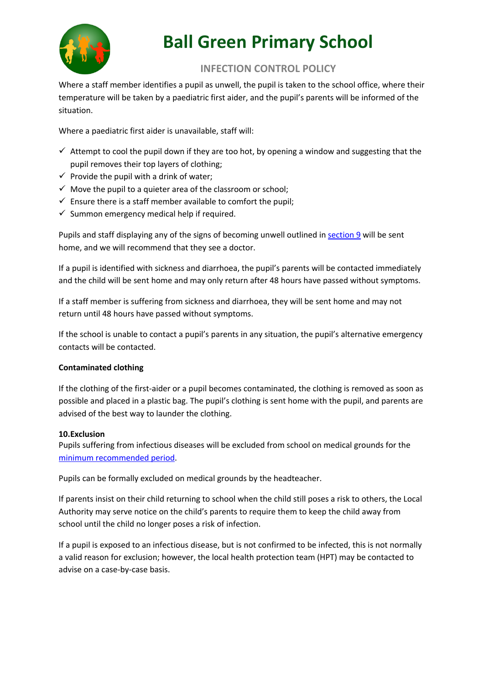

# **INFECTION CONTROL POLICY**

Where a staff member identifies a pupil as unwell, the pupil is taken to the school office, where their temperature will be taken by a paediatric first aider, and the pupil's parents will be informed of the situation.

Where a paediatric first aider is unavailable, staff will:

- $\checkmark$  Attempt to cool the pupil down if they are too hot, by opening a window and suggesting that the pupil removes their top layers of clothing;
- $\checkmark$  Provide the pupil with a drink of water;
- $\checkmark$  Move the pupil to a quieter area of the classroom or school;
- $\checkmark$  Ensure there is a staff member available to comfort the pupil;
- $\checkmark$  Summon emergency medical help if required.

Pupils and staff displaying any of the signs of becoming unwell outlined in section 9 will be sent home, and we will recommend that they see a doctor.

If a pupil is identified with sickness and diarrhoea, the pupil's parents will be contacted immediately and the child will be sent home and may only return after 48 hours have passed without symptoms.

If a staff member is suffering from sickness and diarrhoea, they will be sent home and may not return until 48 hours have passed without symptoms.

If the school is unable to contact a pupil's parents in any situation, the pupil's alternative emergency contacts will be contacted.

# **Contaminated clothing**

If the clothing of the first-aider or a pupil becomes contaminated, the clothing is removed as soon as possible and placed in a plastic bag. The pupil's clothing is sent home with the pupil, and parents are advised of the best way to launder the clothing.

# **10.Exclusion**

Pupils suffering from infectious diseases will be excluded from school on medical grounds for the minimum recommended period.

Pupils can be formally excluded on medical grounds by the headteacher.

If parents insist on their child returning to school when the child still poses a risk to others, the Local Authority may serve notice on the child's parents to require them to keep the child away from school until the child no longer poses a risk of infection.

If a pupil is exposed to an infectious disease, but is not confirmed to be infected, this is not normally a valid reason for exclusion; however, the local health protection team (HPT) may be contacted to advise on a case-by-case basis.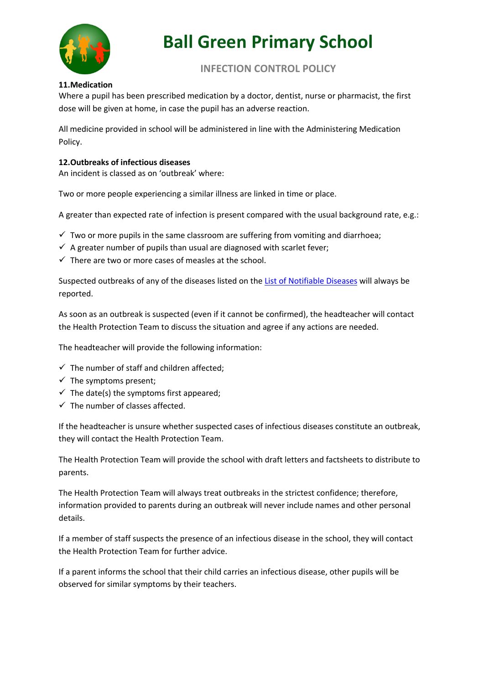

# **INFECTION CONTROL POLICY**

# **11.Medication**

Where a pupil has been prescribed medication by a doctor, dentist, nurse or pharmacist, the first dose will be given at home, in case the pupil has an adverse reaction.

All medicine provided in school will be administered in line with the Administering Medication Policy.

# **12.Outbreaks of infectious diseases**

An incident is classed as on 'outbreak' where:

Two or more people experiencing a similar illness are linked in time or place.

A greater than expected rate of infection is present compared with the usual background rate, e.g.:

- $\checkmark$  Two or more pupils in the same classroom are suffering from vomiting and diarrhoea;
- $\checkmark$  A greater number of pupils than usual are diagnosed with scarlet fever;
- $\checkmark$  There are two or more cases of measles at the school.

Suspected outbreaks of any of the diseases listed on the List of Notifiable Diseases will always be reported.

As soon as an outbreak is suspected (even if it cannot be confirmed), the headteacher will contact the Health Protection Team to discuss the situation and agree if any actions are needed.

The headteacher will provide the following information:

- $\checkmark$  The number of staff and children affected;
- $\checkmark$  The symptoms present;
- $\checkmark$  The date(s) the symptoms first appeared;
- $\checkmark$  The number of classes affected.

If the headteacher is unsure whether suspected cases of infectious diseases constitute an outbreak, they will contact the Health Protection Team.

The Health Protection Team will provide the school with draft letters and factsheets to distribute to parents.

The Health Protection Team will always treat outbreaks in the strictest confidence; therefore, information provided to parents during an outbreak will never include names and other personal details.

If a member of staff suspects the presence of an infectious disease in the school, they will contact the Health Protection Team for further advice.

If a parent informs the school that their child carries an infectious disease, other pupils will be observed for similar symptoms by their teachers.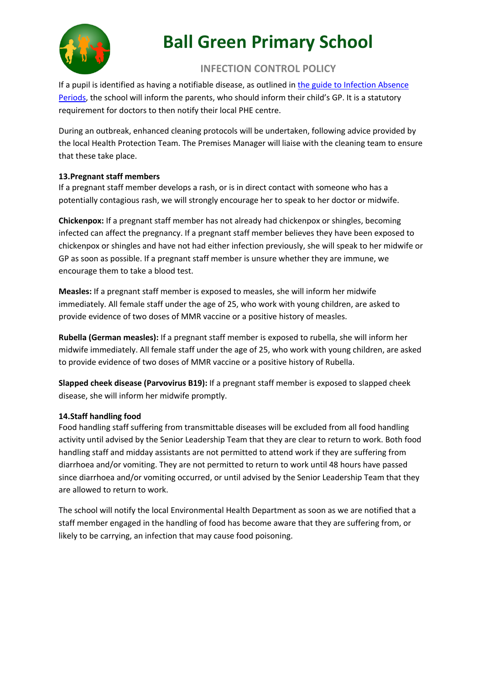

# **INFECTION CONTROL POLICY**

If a pupil is identified as having a notifiable disease, as outlined in the guide to Infection Absence Periods, the school will inform the parents, who should inform their child's GP. It is a statutory requirement for doctors to then notify their local PHE centre.

During an outbreak, enhanced cleaning protocols will be undertaken, following advice provided by the local Health Protection Team. The Premises Manager will liaise with the cleaning team to ensure that these take place.

# **13.Pregnant staff members**

If a pregnant staff member develops a rash, or is in direct contact with someone who has a potentially contagious rash, we will strongly encourage her to speak to her doctor or midwife.

**Chickenpox:** If a pregnant staff member has not already had chickenpox or shingles, becoming infected can affect the pregnancy. If a pregnant staff member believes they have been exposed to chickenpox or shingles and have not had either infection previously, she will speak to her midwife or GP as soon as possible. If a pregnant staff member is unsure whether they are immune, we encourage them to take a blood test.

**Measles:** If a pregnant staff member is exposed to measles, she will inform her midwife immediately. All female staff under the age of 25, who work with young children, are asked to provide evidence of two doses of MMR vaccine or a positive history of measles.

**Rubella (German measles):** If a pregnant staff member is exposed to rubella, she will inform her midwife immediately. All female staff under the age of 25, who work with young children, are asked to provide evidence of two doses of MMR vaccine or a positive history of Rubella.

**Slapped cheek disease (Parvovirus B19):** If a pregnant staff member is exposed to slapped cheek disease, she will inform her midwife promptly.

# **14.Staff handling food**

Food handling staff suffering from transmittable diseases will be excluded from all food handling activity until advised by the Senior Leadership Team that they are clear to return to work. Both food handling staff and midday assistants are not permitted to attend work if they are suffering from diarrhoea and/or vomiting. They are not permitted to return to work until 48 hours have passed since diarrhoea and/or vomiting occurred, or until advised by the Senior Leadership Team that they are allowed to return to work.

The school will notify the local Environmental Health Department as soon as we are notified that a staff member engaged in the handling of food has become aware that they are suffering from, or likely to be carrying, an infection that may cause food poisoning.